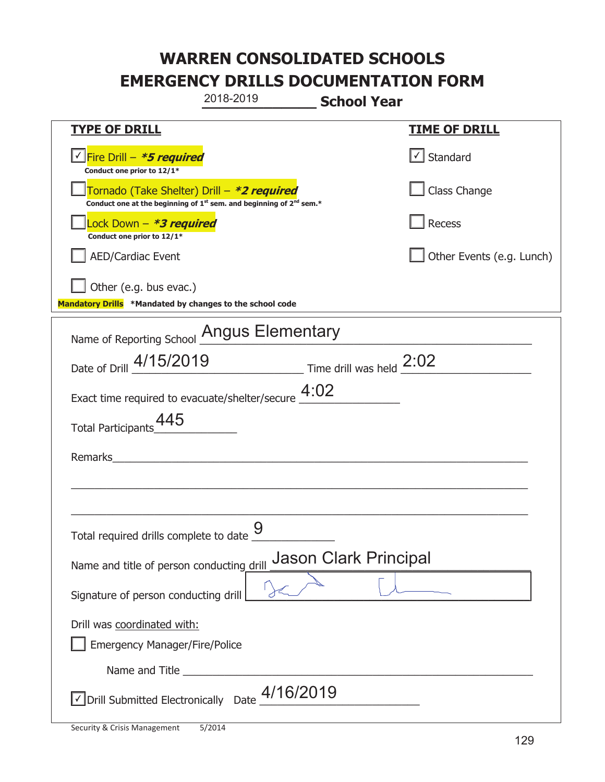|                                                                                    | 2018-2019                                                                                   | <b>School Year</b>           |                           |
|------------------------------------------------------------------------------------|---------------------------------------------------------------------------------------------|------------------------------|---------------------------|
| <u>TYPE OF DRILL</u>                                                               |                                                                                             |                              | <b>TIME OF DRILL</b>      |
| V Fire Drill - *5 required<br>Conduct one prior to 12/1*                           |                                                                                             |                              | √ Standard                |
| Tornado (Take Shelter) Drill – *2 required                                         | Conduct one at the beginning of 1 <sup>st</sup> sem. and beginning of 2 <sup>nd</sup> sem.* |                              | Class Change              |
| Lock Down - *3 required<br>Conduct one prior to 12/1*                              |                                                                                             |                              | Recess                    |
| AED/Cardiac Event                                                                  |                                                                                             |                              | Other Events (e.g. Lunch) |
| Other (e.g. bus evac.)<br>Mandatory Drills *Mandated by changes to the school code |                                                                                             |                              |                           |
| Name of Reporting School Angus Elementary                                          |                                                                                             |                              |                           |
| Date of Drill 4/15/2019 Time drill was held 2:02                                   |                                                                                             |                              |                           |
| Exact time required to evacuate/shelter/secure $4:02$                              |                                                                                             |                              |                           |
| <b>Total Participants</b>                                                          |                                                                                             |                              |                           |
| Remarks                                                                            |                                                                                             |                              |                           |
|                                                                                    |                                                                                             |                              |                           |
| Total required drills complete to date                                             | 9                                                                                           |                              |                           |
| Name and title of person conducting drill                                          |                                                                                             | <b>Jason Clark Principal</b> |                           |
| Signature of person conducting drill                                               |                                                                                             |                              |                           |
| Drill was coordinated with:<br><b>Emergency Manager/Fire/Police</b>                |                                                                                             |                              |                           |
|                                                                                    |                                                                                             |                              |                           |
| √ Drill Submitted Electronically Date                                              | 4/16/2019                                                                                   |                              |                           |

T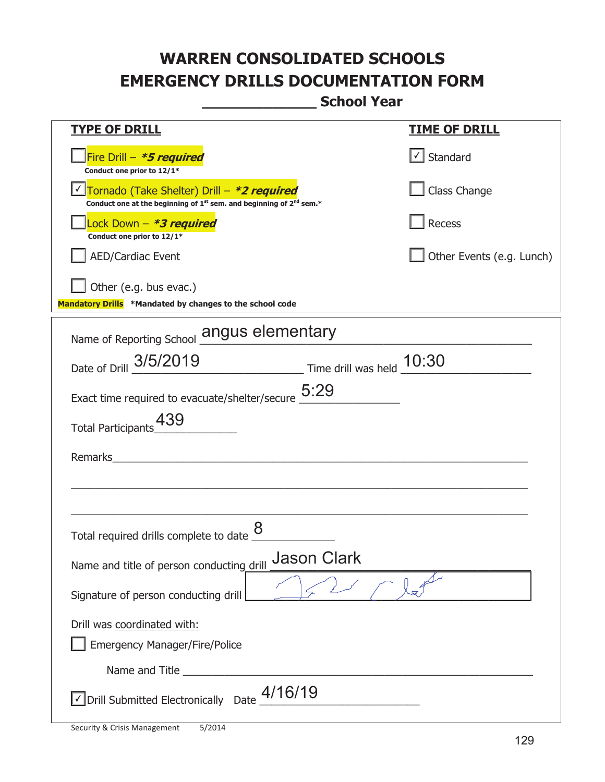| <u>TYPE OF DRILL</u>                                                                                                                      | <u>TIME OF DRILL</u>              |
|-------------------------------------------------------------------------------------------------------------------------------------------|-----------------------------------|
| Fire Drill - *5 required<br>Conduct one prior to 12/1*                                                                                    | $\lfloor \angle \rfloor$ Standard |
| Tornado (Take Shelter) Drill – *2 required<br>Conduct one at the beginning of 1 <sup>st</sup> sem. and beginning of 2 <sup>nd</sup> sem.* | Class Change                      |
| Lock Down - *3 required<br>Conduct one prior to 12/1*                                                                                     | Recess                            |
| <b>AED/Cardiac Event</b>                                                                                                                  | Other Events (e.g. Lunch)         |
| Other (e.g. bus evac.)<br>Mandatory Drills *Mandated by changes to the school code                                                        |                                   |
| Name of Reporting School angus elementary                                                                                                 |                                   |
| Date of Drill 3/5/2019<br>$\frac{10:30}{2}$ Time drill was held $\frac{10:30}{2}$                                                         |                                   |
| Exact time required to evacuate/shelter/secure $\underline{5:}29$                                                                         |                                   |
| 439<br>Total Participants                                                                                                                 |                                   |
| Remarks                                                                                                                                   |                                   |
|                                                                                                                                           |                                   |
| Total required drills complete to date                                                                                                    |                                   |
| <b>Jason Clark</b><br>Name and title of person conducting drill                                                                           |                                   |
| Signature of person conducting drill                                                                                                      |                                   |
| Drill was coordinated with:<br><b>Emergency Manager/Fire/Police</b>                                                                       |                                   |
|                                                                                                                                           |                                   |
| $\vee$ Drill Submitted Electronically Date $\frac{4/16/19}{2}$                                                                            |                                   |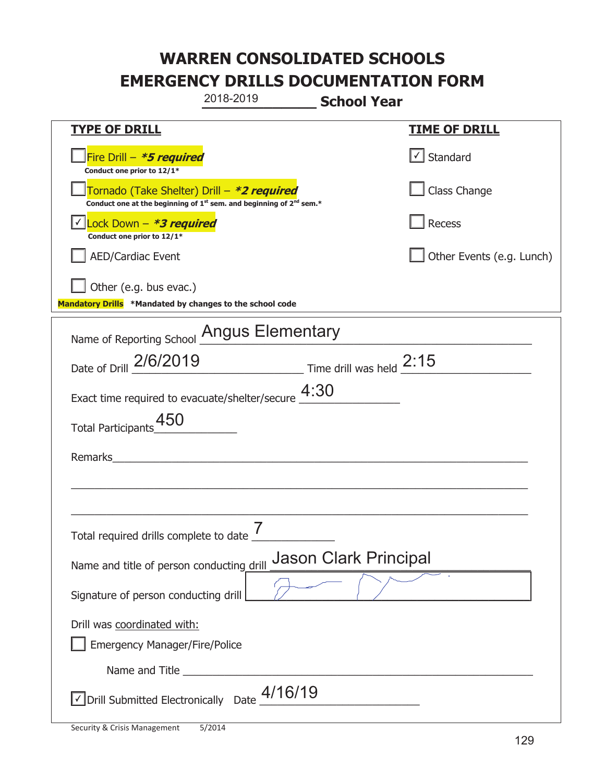|                                                                                    | 2018-2019                                                                                                                                 | <b>School Year</b>           |                           |
|------------------------------------------------------------------------------------|-------------------------------------------------------------------------------------------------------------------------------------------|------------------------------|---------------------------|
| <b>TYPE OF DRILL</b>                                                               |                                                                                                                                           |                              | <u>TIME OF DRILL</u>      |
| Fire Drill - *5 required<br>Conduct one prior to 12/1*                             |                                                                                                                                           |                              | $\cup$ Standard           |
|                                                                                    | Tornado (Take Shelter) Drill – *2 required<br>Conduct one at the beginning of 1 <sup>st</sup> sem. and beginning of 2 <sup>nd</sup> sem.* |                              | Class Change              |
| Lock Down - *3 required<br>Conduct one prior to 12/1*                              |                                                                                                                                           |                              | Recess                    |
| <b>AED/Cardiac Event</b>                                                           |                                                                                                                                           |                              | Other Events (e.g. Lunch) |
| Other (e.g. bus evac.)<br>Mandatory Drills *Mandated by changes to the school code |                                                                                                                                           |                              |                           |
|                                                                                    | Name of Reporting School Angus Elementary                                                                                                 |                              |                           |
|                                                                                    | Date of Drill 2/6/2019 Time drill was held 2:15                                                                                           |                              |                           |
|                                                                                    | Exact time required to evacuate/shelter/secure $\underline{4:}30$                                                                         |                              |                           |
| 450<br><b>Total Participants</b>                                                   |                                                                                                                                           |                              |                           |
| Remarks                                                                            |                                                                                                                                           |                              |                           |
|                                                                                    |                                                                                                                                           |                              |                           |
| Total required drills complete to date $\overline{7}$                              |                                                                                                                                           |                              |                           |
| Name and title of person conducting drill                                          |                                                                                                                                           | <b>Jason Clark Principal</b> |                           |
| Signature of person conducting drill                                               |                                                                                                                                           |                              |                           |
| Drill was coordinated with:<br><b>Emergency Manager/Fire/Police</b>                |                                                                                                                                           |                              |                           |
|                                                                                    |                                                                                                                                           |                              |                           |
| √ Drill Submitted Electronically Date                                              | 4/16/19                                                                                                                                   |                              |                           |

I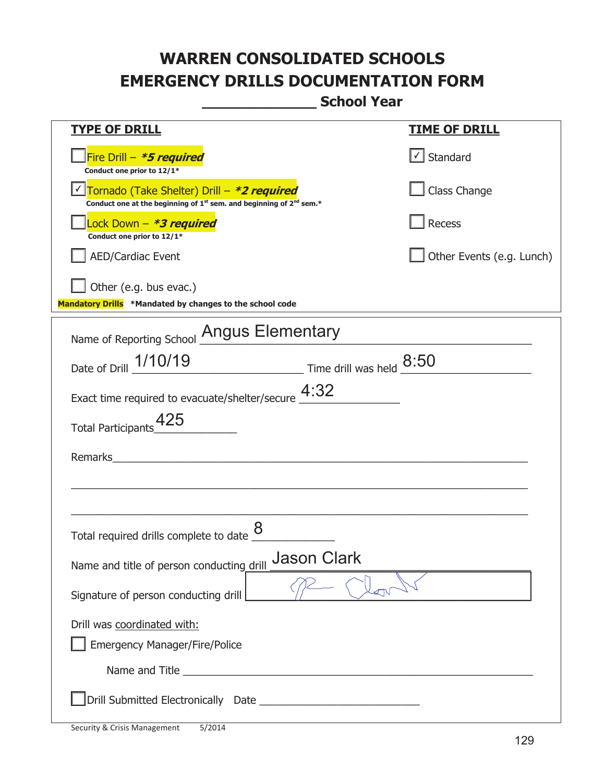| <b>TYPE OF DRILL</b>                                                                                                                      | <u>TIME OF DRILL</u>              |
|-------------------------------------------------------------------------------------------------------------------------------------------|-----------------------------------|
| Fire Drill - *5 required<br>Conduct one prior to 12/1*                                                                                    | $\lfloor \angle \rfloor$ Standard |
| Tornado (Take Shelter) Drill – *2 required<br>Conduct one at the beginning of 1 <sup>st</sup> sem. and beginning of 2 <sup>nd</sup> sem.* | Class Change                      |
| Lock Down - *3 required<br>Conduct one prior to 12/1*                                                                                     | Recess                            |
| <b>AED/Cardiac Event</b>                                                                                                                  | Other Events (e.g. Lunch)         |
| Other (e.g. bus evac.)<br>Mandatory Drills *Mandated by changes to the school code                                                        |                                   |
| Name of Reporting School Angus Elementary                                                                                                 |                                   |
| Date of Drill 1/10/19 Time drill was held 8:50                                                                                            |                                   |
| Exact time required to evacuate/shelter/secure $4:32$                                                                                     |                                   |
| Total Participants_425                                                                                                                    |                                   |
| Remarks                                                                                                                                   |                                   |
|                                                                                                                                           |                                   |
| Total required drills complete to date                                                                                                    |                                   |
| <b>Jason Clark</b><br>Name and title of person conducting drill                                                                           |                                   |
| Signature of person conducting drill                                                                                                      |                                   |
| Drill was coordinated with:                                                                                                               |                                   |
| <b>Emergency Manager/Fire/Police</b>                                                                                                      |                                   |
|                                                                                                                                           |                                   |
|                                                                                                                                           |                                   |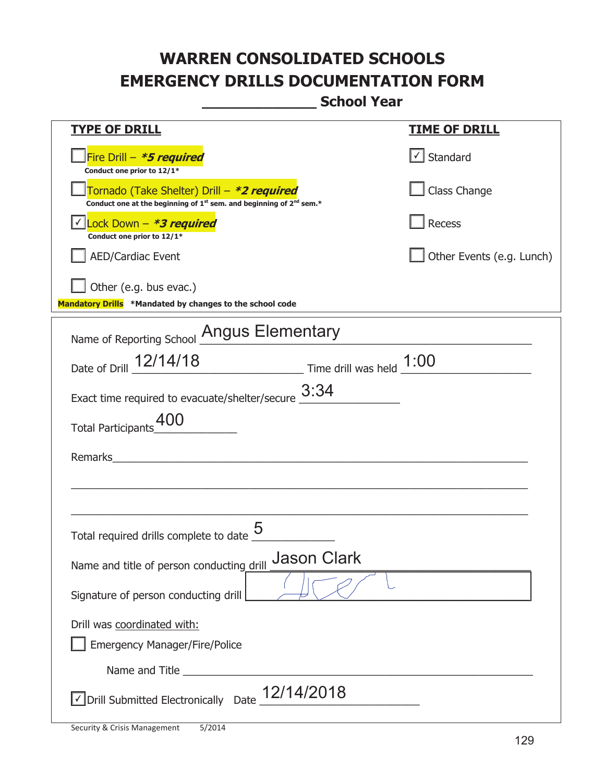| <u>TYPE OF DRILL</u>                                                                                                                      | <u>TIME OF DRILL</u>      |  |
|-------------------------------------------------------------------------------------------------------------------------------------------|---------------------------|--|
| Fire Drill - *5 required<br>Conduct one prior to 12/1*                                                                                    | $\cup$ Standard           |  |
| Tornado (Take Shelter) Drill – *2 required<br>Conduct one at the beginning of 1 <sup>st</sup> sem. and beginning of 2 <sup>nd</sup> sem.* | Class Change              |  |
| Lock Down - *3 required<br>Conduct one prior to 12/1*                                                                                     | Recess                    |  |
| <b>AED/Cardiac Event</b>                                                                                                                  | Other Events (e.g. Lunch) |  |
| Other (e.g. bus evac.)<br>Mandatory Drills *Mandated by changes to the school code                                                        |                           |  |
| Name of Reporting School Angus Elementary                                                                                                 |                           |  |
| Date of Drill 12/14/18 Time drill was held 1:00                                                                                           |                           |  |
| Exact time required to evacuate/shelter/secure $\frac{3:34}{4}$                                                                           |                           |  |
| Total Participants                                                                                                                        |                           |  |
| Remarks<br><u> 1980 - Jan Stein, amerikansk politiker (d. 1980)</u>                                                                       |                           |  |
|                                                                                                                                           |                           |  |
| Total required drills complete to date                                                                                                    |                           |  |
| <b>Jason Clark</b><br>Name and title of person conducting drill                                                                           |                           |  |
| Signature of person conducting drill                                                                                                      |                           |  |
| Drill was coordinated with:                                                                                                               |                           |  |
| <b>Emergency Manager/Fire/Police</b>                                                                                                      |                           |  |
| Name and Title <b>Name and Title</b>                                                                                                      |                           |  |
| √ Drill Submitted Electronically Date 12/14/2018                                                                                          |                           |  |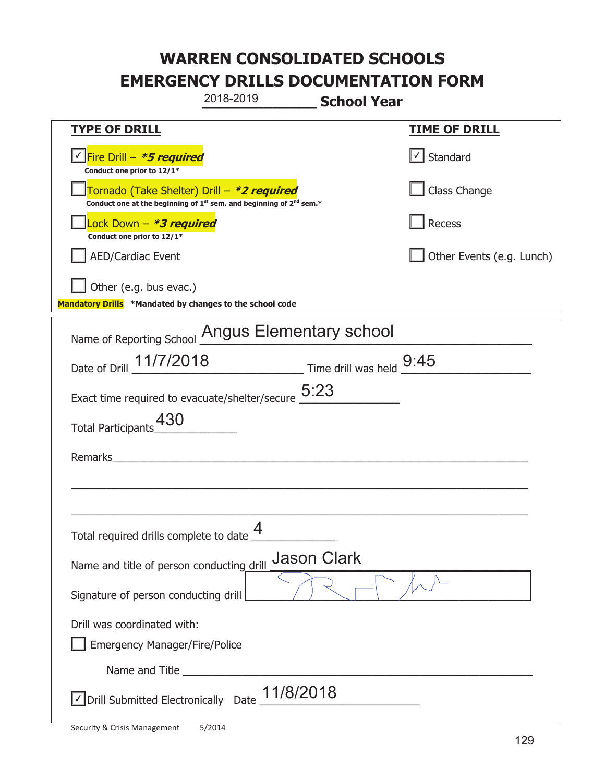|                                                                                    | 2018-2019                                                               | <b>School Year</b> |                           |
|------------------------------------------------------------------------------------|-------------------------------------------------------------------------|--------------------|---------------------------|
| <u>TYPE OF DRILL</u>                                                               |                                                                         |                    | <b>TIME OF DRILL</b>      |
| √ Fire Drill – <b>*5 required</b><br>Conduct one prior to 12/1*                    |                                                                         |                    | $\cup$ Standard           |
| Tornado (Take Shelter) Drill – *2 required                                         | Conduct one at the beginning of $1st$ sem. and beginning of $2nd$ sem.* |                    | Class Change              |
| Lock Down - *3 required<br>Conduct one prior to 12/1*                              |                                                                         |                    | Recess                    |
| AED/Cardiac Event                                                                  |                                                                         |                    | Other Events (e.g. Lunch) |
| Other (e.g. bus evac.)<br>Mandatory Drills *Mandated by changes to the school code |                                                                         |                    |                           |
| Name of Reporting School Angus Elementary school                                   |                                                                         |                    |                           |
| Date of Drill 11/7/2018 Time drill was held 9:45                                   |                                                                         |                    |                           |
| Exact time required to evacuate/shelter/secure $5:23$                              |                                                                         |                    |                           |
| 430<br><b>Total Participants</b>                                                   |                                                                         |                    |                           |
| Remarks                                                                            |                                                                         |                    |                           |
|                                                                                    |                                                                         |                    |                           |
| Total required drills complete to date $\frac{4}{1}$                               |                                                                         |                    |                           |
| Name and title of person conducting drill                                          |                                                                         | <b>Jason Clark</b> |                           |
| Signature of person conducting drill                                               |                                                                         |                    |                           |
| Drill was coordinated with:<br><b>Emergency Manager/Fire/Police</b>                |                                                                         |                    |                           |
|                                                                                    |                                                                         |                    |                           |
| √ Drill Submitted Electronically Date                                              | 11/8/2018                                                               |                    |                           |

T